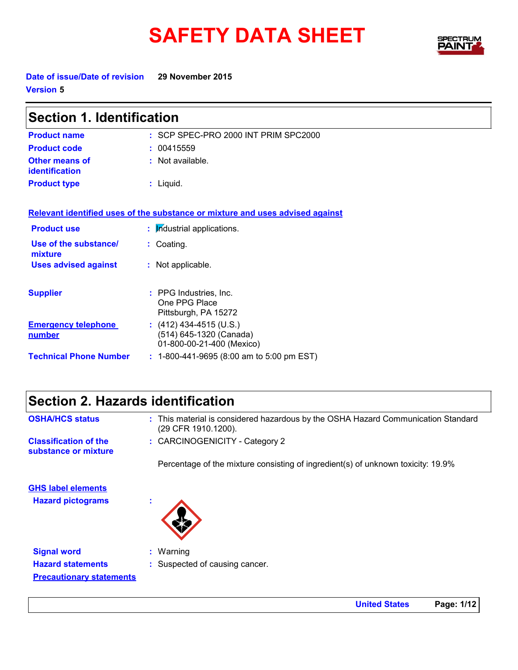## SAFETY DATA SHEET BEINTH



**Date of issue/Date of revision 29 November 2015 Version 5**

| <b>Section 1. Identification</b>        |                                                                                 |  |
|-----------------------------------------|---------------------------------------------------------------------------------|--|
| <b>Product name</b>                     | : SCP SPEC-PRO 2000 INT PRIM SPC2000                                            |  |
| <b>Product code</b>                     | 00415559                                                                        |  |
| <b>Other means of</b><br>identification | : Not available.                                                                |  |
| <b>Product type</b>                     | : Liquid.                                                                       |  |
|                                         | Relevant identified uses of the substance or mixture and uses advised against   |  |
| <b>Product use</b>                      | : Industrial applications.                                                      |  |
| Use of the substance/<br>mixture        | : Coating.                                                                      |  |
| <b>Uses advised against</b>             | : Not applicable.                                                               |  |
| <b>Supplier</b>                         | : PPG Industries, Inc.<br>One PPG Place<br>Pittsburgh, PA 15272                 |  |
| <b>Emergency telephone</b><br>number    | $(412)$ 434-4515 (U.S.)<br>(514) 645-1320 (Canada)<br>01-800-00-21-400 (Mexico) |  |
| <b>Technical Phone Number</b>           | : 1-800-441-9695 (8:00 am to 5:00 pm EST)                                       |  |

**Precautionary statements**

| <b>OSHA/HCS status</b>                               | : This material is considered hazardous by the OSHA Hazard Communication Standard<br>(29 CFR 1910.1200). |
|------------------------------------------------------|----------------------------------------------------------------------------------------------------------|
| <b>Classification of the</b><br>substance or mixture | : CARCINOGENICITY - Category 2                                                                           |
|                                                      | Percentage of the mixture consisting of ingredient(s) of unknown toxicity: 19.9%                         |
| <b>GHS label elements</b>                            |                                                                                                          |
| <b>Hazard pictograms</b>                             | ٠                                                                                                        |
|                                                      |                                                                                                          |
|                                                      |                                                                                                          |
| <b>Signal word</b>                                   | $:$ Warning                                                                                              |
| <b>Hazard statements</b>                             | : Suspected of causing cancer.                                                                           |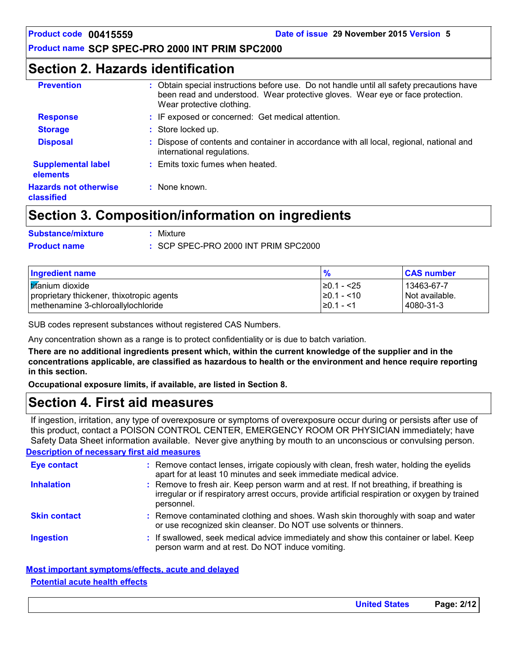## **Section 2. Hazards identification**

| <b>Prevention</b>                          | : Obtain special instructions before use. Do not handle until all safety precautions have<br>been read and understood. Wear protective gloves. Wear eye or face protection.<br>Wear protective clothing. |
|--------------------------------------------|----------------------------------------------------------------------------------------------------------------------------------------------------------------------------------------------------------|
| <b>Response</b>                            | : IF exposed or concerned: Get medical attention.                                                                                                                                                        |
| <b>Storage</b>                             | : Store locked up.                                                                                                                                                                                       |
| <b>Disposal</b>                            | Dispose of contents and container in accordance with all local, regional, national and<br>international regulations.                                                                                     |
| <b>Supplemental label</b><br>elements      | : Emits toxic fumes when heated.                                                                                                                                                                         |
| <b>Hazards not otherwise</b><br>classified | : None known.                                                                                                                                                                                            |

## **Section 3. Composition/information on ingredients**

| <b>Substance/mixture</b> | : Mixture                                       |
|--------------------------|-------------------------------------------------|
| <b>Product name</b>      | $\therefore$ SCP SPEC-PRO 2000 INT PRIM SPC2000 |

| Ingredient name                                                                 | $\frac{1}{2}$                       | <b>CAS number</b>             |
|---------------------------------------------------------------------------------|-------------------------------------|-------------------------------|
| <b>Itifanium</b> dioxide                                                        | $\geq$ 0.1 - <25                    | l 13463-67-7                  |
| proprietary thickener, thixotropic agents<br>methenamine 3-chloroallylochloride | $\geq 0.1 - 10$<br>$\geq 0.1 - 1.5$ | Not available.<br>l 4080-31-3 |

SUB codes represent substances without registered CAS Numbers.

Any concentration shown as a range is to protect confidentiality or is due to batch variation.

**There are no additional ingredients present which, within the current knowledge of the supplier and in the concentrations applicable, are classified as hazardous to health or the environment and hence require reporting in this section.**

**Occupational exposure limits, if available, are listed in Section 8.**

## **Section 4. First aid measures**

If ingestion, irritation, any type of overexposure or symptoms of overexposure occur during or persists after use of this product, contact a POISON CONTROL CENTER, EMERGENCY ROOM OR PHYSICIAN immediately; have Safety Data Sheet information available. Never give anything by mouth to an unconscious or convulsing person.

**Description of necessary first aid measures**

| <b>Eye contact</b>  | : Remove contact lenses, irrigate copiously with clean, fresh water, holding the eyelids<br>apart for at least 10 minutes and seek immediate medical advice.                                           |
|---------------------|--------------------------------------------------------------------------------------------------------------------------------------------------------------------------------------------------------|
| <b>Inhalation</b>   | : Remove to fresh air. Keep person warm and at rest. If not breathing, if breathing is<br>irregular or if respiratory arrest occurs, provide artificial respiration or oxygen by trained<br>personnel. |
| <b>Skin contact</b> | : Remove contaminated clothing and shoes. Wash skin thoroughly with soap and water<br>or use recognized skin cleanser. Do NOT use solvents or thinners.                                                |
| <b>Ingestion</b>    | : If swallowed, seek medical advice immediately and show this container or label. Keep<br>person warm and at rest. Do NOT induce vomiting.                                                             |

### **Most important symptoms/effects, acute and delayed**

### **Potential acute health effects**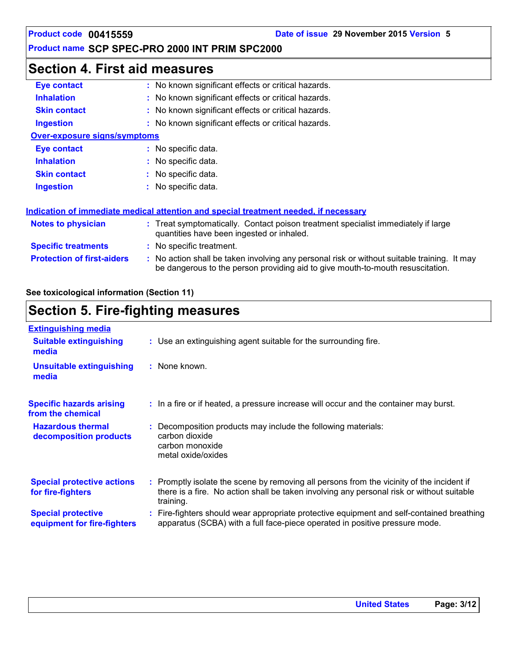## **Section 4. First aid measures**

| Eye contact                         | : No known significant effects or critical hazards.                                                                                                                           |
|-------------------------------------|-------------------------------------------------------------------------------------------------------------------------------------------------------------------------------|
| <b>Inhalation</b>                   | : No known significant effects or critical hazards.                                                                                                                           |
| <b>Skin contact</b>                 | No known significant effects or critical hazards.                                                                                                                             |
| <b>Ingestion</b>                    | : No known significant effects or critical hazards.                                                                                                                           |
| <b>Over-exposure signs/symptoms</b> |                                                                                                                                                                               |
| Eye contact                         | : No specific data.                                                                                                                                                           |
| <b>Inhalation</b>                   | No specific data.                                                                                                                                                             |
| <b>Skin contact</b>                 | No specific data.                                                                                                                                                             |
| <b>Ingestion</b>                    | No specific data.                                                                                                                                                             |
|                                     | Indication of immediate medical attention and special treatment needed, if necessary                                                                                          |
| <b>Notes to physician</b>           | : Treat symptomatically. Contact poison treatment specialist immediately if large<br>quantities have been ingested or inhaled.                                                |
| <b>Specific treatments</b>          | No specific treatment.                                                                                                                                                        |
| <b>Protection of first-aiders</b>   | : No action shall be taken involving any personal risk or without suitable training. It may<br>be dangerous to the person providing aid to give mouth-to-mouth resuscitation. |

**See toxicological information (Section 11)**

## **Section 5. Fire-fighting measures**

| <b>Extinguishing media</b>                               |                                                                                                                                                                                                     |
|----------------------------------------------------------|-----------------------------------------------------------------------------------------------------------------------------------------------------------------------------------------------------|
| <b>Suitable extinguishing</b><br>media                   | : Use an extinguishing agent suitable for the surrounding fire.                                                                                                                                     |
| <b>Unsuitable extinguishing</b><br>media                 | : None known.                                                                                                                                                                                       |
| <b>Specific hazards arising</b><br>from the chemical     | : In a fire or if heated, a pressure increase will occur and the container may burst.                                                                                                               |
| <b>Hazardous thermal</b><br>decomposition products       | Decomposition products may include the following materials:<br>carbon dioxide<br>carbon monoxide<br>metal oxide/oxides                                                                              |
| <b>Special protective actions</b><br>for fire-fighters   | : Promptly isolate the scene by removing all persons from the vicinity of the incident if<br>there is a fire. No action shall be taken involving any personal risk or without suitable<br>training. |
| <b>Special protective</b><br>equipment for fire-fighters | Fire-fighters should wear appropriate protective equipment and self-contained breathing<br>apparatus (SCBA) with a full face-piece operated in positive pressure mode.                              |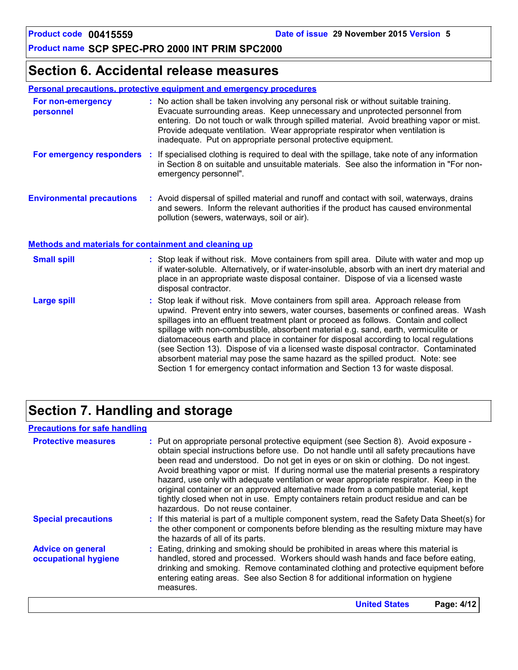## **Section 6. Accidental release measures**

### **Personal precautions, protective equipment and emergency procedures**

| For non-emergency<br>personnel   | : No action shall be taken involving any personal risk or without suitable training.<br>Evacuate surrounding areas. Keep unnecessary and unprotected personnel from<br>entering. Do not touch or walk through spilled material. Avoid breathing vapor or mist.<br>Provide adequate ventilation. Wear appropriate respirator when ventilation is<br>inadequate. Put on appropriate personal protective equipment. |
|----------------------------------|------------------------------------------------------------------------------------------------------------------------------------------------------------------------------------------------------------------------------------------------------------------------------------------------------------------------------------------------------------------------------------------------------------------|
| For emergency responders :       | If specialised clothing is required to deal with the spillage, take note of any information<br>in Section 8 on suitable and unsuitable materials. See also the information in "For non-<br>emergency personnel".                                                                                                                                                                                                 |
| <b>Environmental precautions</b> | : Avoid dispersal of spilled material and runoff and contact with soil, waterways, drains<br>and sewers. Inform the relevant authorities if the product has caused environmental<br>pollution (sewers, waterways, soil or air).                                                                                                                                                                                  |

### **Methods and materials for containment and cleaning up**

| <b>Small spill</b> | : Stop leak if without risk. Move containers from spill area. Dilute with water and mop up<br>if water-soluble. Alternatively, or if water-insoluble, absorb with an inert dry material and<br>place in an appropriate waste disposal container. Dispose of via a licensed waste<br>disposal contractor.                                                                                                                                                                                                                                                                                                                                                                                                     |
|--------------------|--------------------------------------------------------------------------------------------------------------------------------------------------------------------------------------------------------------------------------------------------------------------------------------------------------------------------------------------------------------------------------------------------------------------------------------------------------------------------------------------------------------------------------------------------------------------------------------------------------------------------------------------------------------------------------------------------------------|
| Large spill        | : Stop leak if without risk. Move containers from spill area. Approach release from<br>upwind. Prevent entry into sewers, water courses, basements or confined areas. Wash<br>spillages into an effluent treatment plant or proceed as follows. Contain and collect<br>spillage with non-combustible, absorbent material e.g. sand, earth, vermiculite or<br>diatomaceous earth and place in container for disposal according to local regulations<br>(see Section 13). Dispose of via a licensed waste disposal contractor. Contaminated<br>absorbent material may pose the same hazard as the spilled product. Note: see<br>Section 1 for emergency contact information and Section 13 for waste disposal. |

## **Section 7. Handling and storage**

### **Precautions for safe handling**

| <b>Protective measures</b>                       | : Put on appropriate personal protective equipment (see Section 8). Avoid exposure -<br>obtain special instructions before use. Do not handle until all safety precautions have<br>been read and understood. Do not get in eyes or on skin or clothing. Do not ingest.<br>Avoid breathing vapor or mist. If during normal use the material presents a respiratory<br>hazard, use only with adequate ventilation or wear appropriate respirator. Keep in the<br>original container or an approved alternative made from a compatible material, kept<br>tightly closed when not in use. Empty containers retain product residue and can be<br>hazardous. Do not reuse container. |
|--------------------------------------------------|--------------------------------------------------------------------------------------------------------------------------------------------------------------------------------------------------------------------------------------------------------------------------------------------------------------------------------------------------------------------------------------------------------------------------------------------------------------------------------------------------------------------------------------------------------------------------------------------------------------------------------------------------------------------------------|
| <b>Special precautions</b>                       | : If this material is part of a multiple component system, read the Safety Data Sheet(s) for<br>the other component or components before blending as the resulting mixture may have<br>the hazards of all of its parts.                                                                                                                                                                                                                                                                                                                                                                                                                                                        |
| <b>Advice on general</b><br>occupational hygiene | : Eating, drinking and smoking should be prohibited in areas where this material is<br>handled, stored and processed. Workers should wash hands and face before eating,<br>drinking and smoking. Remove contaminated clothing and protective equipment before<br>entering eating areas. See also Section 8 for additional information on hygiene<br>measures.                                                                                                                                                                                                                                                                                                                  |
|                                                  | <b>United States</b><br>Page: 4/12                                                                                                                                                                                                                                                                                                                                                                                                                                                                                                                                                                                                                                             |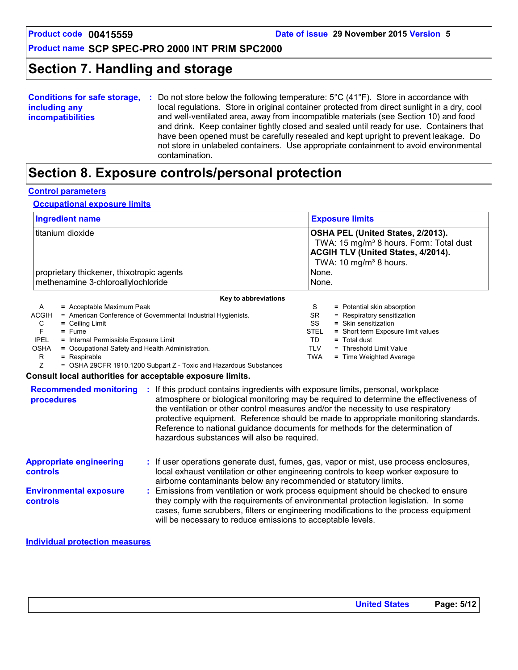TD **=** Total dust

TLV = Threshold Limit Value TWA **=** Time Weighted Average

### **Product name SCP SPEC-PRO 2000 INT PRIM SPC2000**

## **Section 7. Handling and storage**

| <b>Conditions for safe storage,</b> | Do not store below the following temperature: $5^{\circ}$ C (41 $^{\circ}$ F). Store in accordance with |
|-------------------------------------|---------------------------------------------------------------------------------------------------------|
| including any                       | local regulations. Store in original container protected from direct sunlight in a dry, cool            |
| <i>incompatibilities</i>            | and well-ventilated area, away from incompatible materials (see Section 10) and food                    |
|                                     | and drink. Keep container tightly closed and sealed until ready for use. Containers that                |
|                                     | have been opened must be carefully resealed and kept upright to prevent leakage. Do                     |
|                                     | not store in unlabeled containers. Use appropriate containment to avoid environmental                   |
|                                     | contamination.                                                                                          |

## **Section 8. Exposure controls/personal protection**

### **Control parameters**

### **Occupational exposure limits**

| <b>Ingredient name</b>                                                                                             |                           | <b>Exposure limits</b>                                                                                                                                                                               |  |
|--------------------------------------------------------------------------------------------------------------------|---------------------------|------------------------------------------------------------------------------------------------------------------------------------------------------------------------------------------------------|--|
| titanium dioxide<br>proprietary thickener, thixotropic agents<br>methenamine 3-chloroallylochloride                |                           | <b>OSHA PEL (United States, 2/2013).</b><br>TWA: 15 mg/m <sup>3</sup> 8 hours. Form: Total dust<br><b>ACGIH TLV (United States, 4/2014).</b><br>TWA: 10 mg/m <sup>3</sup> 8 hours.<br>None.<br>None. |  |
|                                                                                                                    | Key to abbreviations      |                                                                                                                                                                                                      |  |
| A                                                                                                                  | = Acceptable Maximum Peak | S<br>= Potential skin absorption                                                                                                                                                                     |  |
| = American Conference of Governmental Industrial Hygienists.<br>SR.<br>= Respiratory sensitization<br><b>ACGIH</b> |                           |                                                                                                                                                                                                      |  |
| SS<br>$=$ Skin sensitization<br>C<br>$=$ Ceiling Limit                                                             |                           |                                                                                                                                                                                                      |  |
|                                                                                                                    | $=$ Fume                  | <b>STEL</b><br>= Short term Exposure limit values                                                                                                                                                    |  |

- F **=** Fume
- IPEL = Internal Permissible Exposure Limit
- OSHA **=** Occupational Safety and Health Administration.
	-
	- $R = Respirable$ <br> $Z = OSHA 29C$ = OSHA 29CFR 1910.1200 Subpart Z - Toxic and Hazardous Substances

#### **Consult local authorities for acceptable exposure limits.**

| <b>Recommended monitoring</b><br>procedures       | If this product contains ingredients with exposure limits, personal, workplace<br>atmosphere or biological monitoring may be required to determine the effectiveness of<br>the ventilation or other control measures and/or the necessity to use respiratory<br>protective equipment. Reference should be made to appropriate monitoring standards.<br>Reference to national guidance documents for methods for the determination of<br>hazardous substances will also be required. |
|---------------------------------------------------|-------------------------------------------------------------------------------------------------------------------------------------------------------------------------------------------------------------------------------------------------------------------------------------------------------------------------------------------------------------------------------------------------------------------------------------------------------------------------------------|
| <b>Appropriate engineering</b><br><b>controls</b> | : If user operations generate dust, fumes, gas, vapor or mist, use process enclosures,<br>local exhaust ventilation or other engineering controls to keep worker exposure to<br>airborne contaminants below any recommended or statutory limits.                                                                                                                                                                                                                                    |
| <b>Environmental exposure</b><br><b>controls</b>  | Emissions from ventilation or work process equipment should be checked to ensure<br>they comply with the requirements of environmental protection legislation. In some<br>cases, fume scrubbers, filters or engineering modifications to the process equipment<br>will be necessary to reduce emissions to acceptable levels.                                                                                                                                                       |

**Individual protection measures**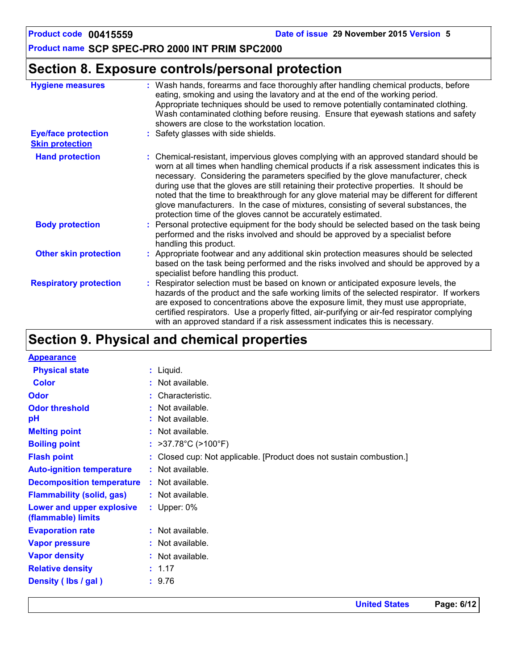## **Section 8. Exposure controls/personal protection**

| <b>Hygiene measures</b>                              | : Wash hands, forearms and face thoroughly after handling chemical products, before<br>eating, smoking and using the lavatory and at the end of the working period.<br>Appropriate techniques should be used to remove potentially contaminated clothing.<br>Wash contaminated clothing before reusing. Ensure that eyewash stations and safety<br>showers are close to the workstation location.                                                                                                                                                                                                                      |
|------------------------------------------------------|------------------------------------------------------------------------------------------------------------------------------------------------------------------------------------------------------------------------------------------------------------------------------------------------------------------------------------------------------------------------------------------------------------------------------------------------------------------------------------------------------------------------------------------------------------------------------------------------------------------------|
| <b>Eye/face protection</b><br><b>Skin protection</b> | : Safety glasses with side shields.                                                                                                                                                                                                                                                                                                                                                                                                                                                                                                                                                                                    |
| <b>Hand protection</b>                               | : Chemical-resistant, impervious gloves complying with an approved standard should be<br>worn at all times when handling chemical products if a risk assessment indicates this is<br>necessary. Considering the parameters specified by the glove manufacturer, check<br>during use that the gloves are still retaining their protective properties. It should be<br>noted that the time to breakthrough for any glove material may be different for different<br>glove manufacturers. In the case of mixtures, consisting of several substances, the<br>protection time of the gloves cannot be accurately estimated. |
| <b>Body protection</b>                               | : Personal protective equipment for the body should be selected based on the task being<br>performed and the risks involved and should be approved by a specialist before<br>handling this product.                                                                                                                                                                                                                                                                                                                                                                                                                    |
| <b>Other skin protection</b>                         | : Appropriate footwear and any additional skin protection measures should be selected<br>based on the task being performed and the risks involved and should be approved by a<br>specialist before handling this product.                                                                                                                                                                                                                                                                                                                                                                                              |
| <b>Respiratory protection</b>                        | : Respirator selection must be based on known or anticipated exposure levels, the<br>hazards of the product and the safe working limits of the selected respirator. If workers<br>are exposed to concentrations above the exposure limit, they must use appropriate,<br>certified respirators. Use a properly fitted, air-purifying or air-fed respirator complying<br>with an approved standard if a risk assessment indicates this is necessary.                                                                                                                                                                     |

## **Section 9. Physical and chemical properties**

| $:$ Liquid.                                                          |
|----------------------------------------------------------------------|
| $:$ Not available.                                                   |
| : Characteristic.                                                    |
| : Not available.                                                     |
| : Not available.                                                     |
| $:$ Not available.                                                   |
| : $>37.78^{\circ}$ C ( $>100^{\circ}$ F)                             |
| : Closed cup: Not applicable. [Product does not sustain combustion.] |
| $:$ Not available.                                                   |
| : Not available.                                                     |
| $:$ Not available.                                                   |
| : Upper: $0\%$                                                       |
| : Not available.                                                     |
| $:$ Not available.                                                   |
| : Not available.                                                     |
| : 1.17                                                               |
| : 9.76                                                               |
|                                                                      |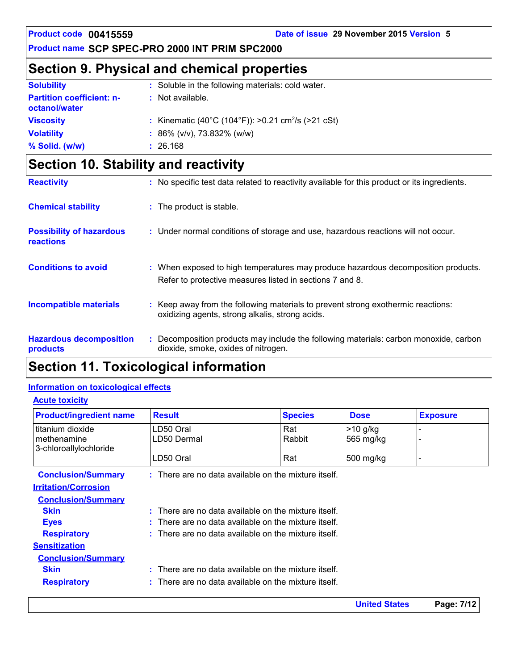## **Section 9. Physical and chemical properties**

| <b>Solubility</b>                                 | : Soluble in the following materials: cold water.              |
|---------------------------------------------------|----------------------------------------------------------------|
| <b>Partition coefficient: n-</b><br>octanol/water | : Not available.                                               |
| <b>Viscosity</b>                                  | : Kinematic (40°C (104°F)): >0.21 cm <sup>2</sup> /s (>21 cSt) |
| <b>Volatility</b>                                 | : $86\%$ (v/v), 73.832% (w/w)                                  |
| % Solid. (w/w)                                    | : 26.168                                                       |

## **Section 10. Stability and reactivity**

| <b>Reactivity</b>                            | : No specific test data related to reactivity available for this product or its ingredients.                                                  |
|----------------------------------------------|-----------------------------------------------------------------------------------------------------------------------------------------------|
| <b>Chemical stability</b>                    | : The product is stable.                                                                                                                      |
| <b>Possibility of hazardous</b><br>reactions | : Under normal conditions of storage and use, hazardous reactions will not occur.                                                             |
| <b>Conditions to avoid</b>                   | : When exposed to high temperatures may produce hazardous decomposition products.<br>Refer to protective measures listed in sections 7 and 8. |
| <b>Incompatible materials</b>                | : Keep away from the following materials to prevent strong exothermic reactions:<br>oxidizing agents, strong alkalis, strong acids.           |
| <b>Hazardous decomposition</b><br>products   | Decomposition products may include the following materials: carbon monoxide, carbon<br>dioxide, smoke, oxides of nitrogen.                    |

## **Section 11. Toxicological information**

### **Information on toxicological effects**

### **Acute toxicity**

| <b>Product/ingredient name</b> | <b>Result</b>                                                   | <b>Species</b> | <b>Dose</b>          | <b>Exposure</b> |
|--------------------------------|-----------------------------------------------------------------|----------------|----------------------|-----------------|
| titanium dioxide               | LD50 Oral                                                       | Rat            | $>10$ g/kg           |                 |
| methenamine                    | LD50 Dermal                                                     | Rabbit         | 565 mg/kg            |                 |
| 3-chloroallylochloride         |                                                                 |                |                      |                 |
|                                | LD50 Oral                                                       | Rat            | 500 mg/kg            |                 |
| <b>Conclusion/Summary</b>      | $\therefore$ There are no data available on the mixture itself. |                |                      |                 |
| <b>Irritation/Corrosion</b>    |                                                                 |                |                      |                 |
| <b>Conclusion/Summary</b>      |                                                                 |                |                      |                 |
| <b>Skin</b>                    | $:$ There are no data available on the mixture itself.          |                |                      |                 |
| <b>Eyes</b>                    | : There are no data available on the mixture itself.            |                |                      |                 |
| <b>Respiratory</b>             | : There are no data available on the mixture itself.            |                |                      |                 |
| <b>Sensitization</b>           |                                                                 |                |                      |                 |
| <b>Conclusion/Summary</b>      |                                                                 |                |                      |                 |
| <b>Skin</b>                    | $:$ There are no data available on the mixture itself.          |                |                      |                 |
| <b>Respiratory</b>             | : There are no data available on the mixture itself.            |                |                      |                 |
|                                |                                                                 |                | <b>United States</b> | Page: 7/12      |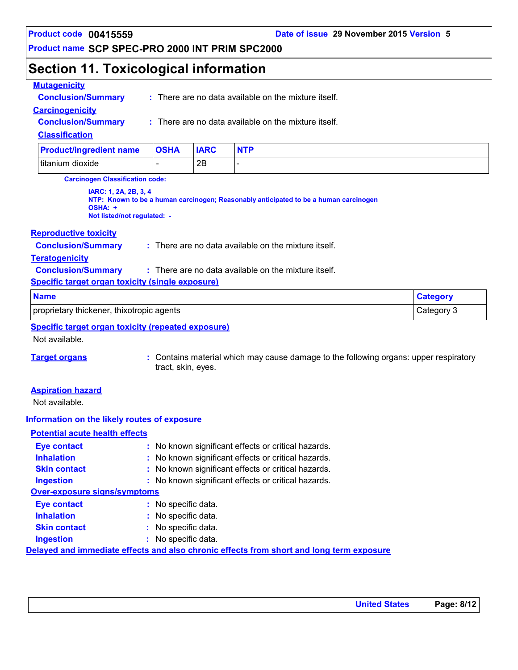## **Section 11. Toxicological information**

### **Mutagenicity**

| Deaduathaneadiant name    | <b>OCUA</b> |                                                                 |
|---------------------------|-------------|-----------------------------------------------------------------|
| <b>Classification</b>     |             |                                                                 |
| <b>Conclusion/Summary</b> |             | $\therefore$ There are no data available on the mixture itself. |
| <b>Carcinogenicity</b>    |             |                                                                 |
| <b>Conclusion/Summary</b> |             | : There are no data available on the mixture itself.            |
|                           |             |                                                                 |

# titanium dioxide - 2B - **Product/ingredient name OSHA IARC NTP**

**Carcinogen Classification code:**

**IARC: 1, 2A, 2B, 3, 4 NTP: Known to be a human carcinogen; Reasonably anticipated to be a human carcinogen OSHA: + Not listed/not regulated: -**

### **Reproductive toxicity**

**Conclusion/Summary :** There are no data available on the mixture itself.

### **Teratogenicity**

**Conclusion/Summary :** : There are no data available on the mixture itself.

### **Specific target organ toxicity (single exposure)**

| <b>Name</b>                               | <b>Category</b> |
|-------------------------------------------|-----------------|
| proprietary thickener, thixotropic agents | Category 3      |

## **Specific target organ toxicity (repeated exposure)**

Not available.

**Target organs :** Contains material which may cause damage to the following organs: upper respiratory tract, skin, eyes.

### **Aspiration hazard**

Not available.

### **Information on the likely routes of exposure**

### **Potential acute health effects**

| <b>Eye contact</b>                  | : No known significant effects or critical hazards.                                      |
|-------------------------------------|------------------------------------------------------------------------------------------|
| <b>Inhalation</b>                   | : No known significant effects or critical hazards.                                      |
| <b>Skin contact</b>                 | : No known significant effects or critical hazards.                                      |
| <b>Ingestion</b>                    | : No known significant effects or critical hazards.                                      |
| <b>Over-exposure signs/symptoms</b> |                                                                                          |
| <b>Eye contact</b>                  | : No specific data.                                                                      |
| <b>Inhalation</b>                   | $:$ No specific data.                                                                    |
| <b>Skin contact</b>                 | : No specific data.                                                                      |
| <b>Ingestion</b>                    | : No specific data.                                                                      |
|                                     | Delayed and immediate effects and also chronic effects from short and long term exposure |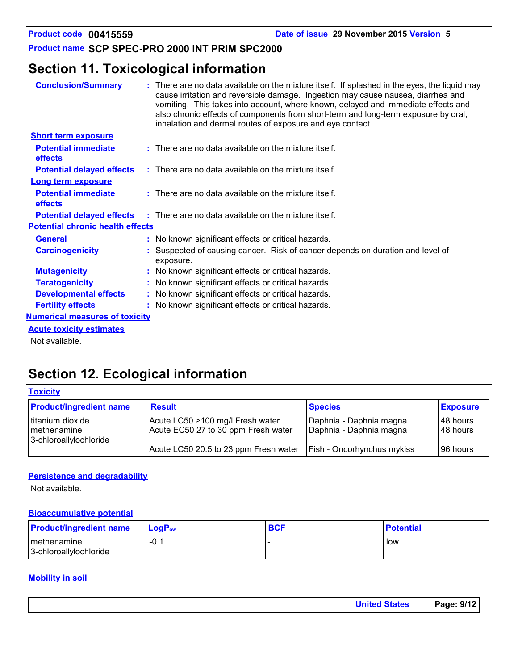## **Section 11. Toxicological information**

| <b>Conclusion/Summary</b>                    | : There are no data available on the mixture itself. If splashed in the eyes, the liquid may<br>cause irritation and reversible damage. Ingestion may cause nausea, diarrhea and<br>vomiting. This takes into account, where known, delayed and immediate effects and<br>also chronic effects of components from short-term and long-term exposure by oral,<br>inhalation and dermal routes of exposure and eye contact. |
|----------------------------------------------|--------------------------------------------------------------------------------------------------------------------------------------------------------------------------------------------------------------------------------------------------------------------------------------------------------------------------------------------------------------------------------------------------------------------------|
| <b>Short term exposure</b>                   |                                                                                                                                                                                                                                                                                                                                                                                                                          |
| <b>Potential immediate</b><br><b>effects</b> | $:$ There are no data available on the mixture itself.                                                                                                                                                                                                                                                                                                                                                                   |
| <b>Potential delayed effects</b>             | $\therefore$ There are no data available on the mixture itself.                                                                                                                                                                                                                                                                                                                                                          |
| <b>Long term exposure</b>                    |                                                                                                                                                                                                                                                                                                                                                                                                                          |
| <b>Potential immediate</b><br>effects        | $:$ There are no data available on the mixture itself.                                                                                                                                                                                                                                                                                                                                                                   |
|                                              | <b>Potential delayed effects</b> : There are no data available on the mixture itself.                                                                                                                                                                                                                                                                                                                                    |
| <b>Potential chronic health effects</b>      |                                                                                                                                                                                                                                                                                                                                                                                                                          |
| <b>General</b>                               | : No known significant effects or critical hazards.                                                                                                                                                                                                                                                                                                                                                                      |
| <b>Carcinogenicity</b>                       | : Suspected of causing cancer. Risk of cancer depends on duration and level of<br>exposure.                                                                                                                                                                                                                                                                                                                              |
| <b>Mutagenicity</b>                          | : No known significant effects or critical hazards.                                                                                                                                                                                                                                                                                                                                                                      |
| <b>Teratogenicity</b>                        | : No known significant effects or critical hazards.                                                                                                                                                                                                                                                                                                                                                                      |
| <b>Developmental effects</b>                 | : No known significant effects or critical hazards.                                                                                                                                                                                                                                                                                                                                                                      |
| <b>Fertility effects</b>                     | : No known significant effects or critical hazards.                                                                                                                                                                                                                                                                                                                                                                      |
| <b>Numerical measures of toxicity</b>        |                                                                                                                                                                                                                                                                                                                                                                                                                          |
| <b>Acute toxicity estimates</b>              |                                                                                                                                                                                                                                                                                                                                                                                                                          |
| Not available.                               |                                                                                                                                                                                                                                                                                                                                                                                                                          |

## **Section 12. Ecological information**

|  | <b>Toxicity</b> |  |
|--|-----------------|--|
|  |                 |  |

| <b>Product/ingredient name</b>                            | <b>Result</b>                                                           | <b>Species</b>                                     | <b>Exposure</b>            |
|-----------------------------------------------------------|-------------------------------------------------------------------------|----------------------------------------------------|----------------------------|
| titanium dioxide<br>methenamine<br>3-chloroallylochloride | Acute LC50 >100 mg/l Fresh water<br>Acute EC50 27 to 30 ppm Fresh water | Daphnia - Daphnia magna<br>Daphnia - Daphnia magna | l 48 hours l<br>l 48 hours |
|                                                           | Acute LC50 20.5 to 23 ppm Fresh water                                   | <b>Fish - Oncorhynchus mykiss</b>                  | l 96 hours                 |

### **Persistence and degradability**

Not available.

### **Bioaccumulative potential**

| <b>Product/ingredient name</b>          | <b>LogP</b> <sub>ow</sub> | <b>BCF</b> | <b>Potential</b> |
|-----------------------------------------|---------------------------|------------|------------------|
| I methenamine<br>3-chloroallylochloride | $-0.1$                    |            | low              |

### **Mobility in soil**

| <b>United States</b> | Page: 9/12 |
|----------------------|------------|
|                      |            |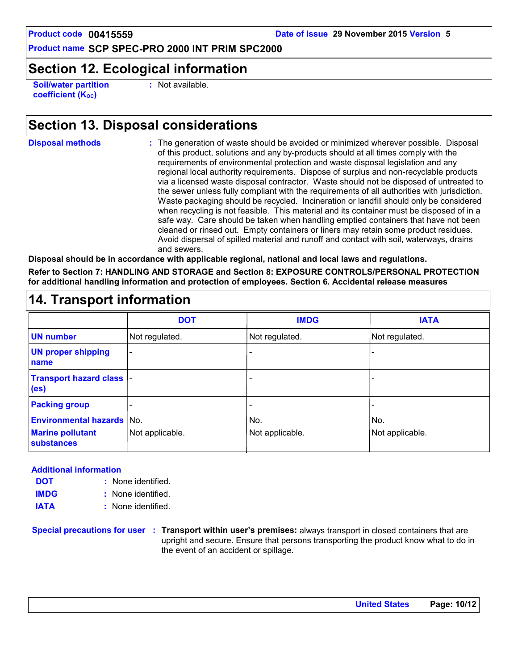## **Section 12. Ecological information**

**Soil/water partition coefficient (K**<sub>oc</sub>)

**:** Not available.

## **Section 13. Disposal considerations**

**Disposal methods :**

The generation of waste should be avoided or minimized wherever possible. Disposal of this product, solutions and any by-products should at all times comply with the requirements of environmental protection and waste disposal legislation and any regional local authority requirements. Dispose of surplus and non-recyclable products via a licensed waste disposal contractor. Waste should not be disposed of untreated to the sewer unless fully compliant with the requirements of all authorities with jurisdiction. Waste packaging should be recycled. Incineration or landfill should only be considered when recycling is not feasible. This material and its container must be disposed of in a safe way. Care should be taken when handling emptied containers that have not been cleaned or rinsed out. Empty containers or liners may retain some product residues. Avoid dispersal of spilled material and runoff and contact with soil, waterways, drains and sewers.

**Disposal should be in accordance with applicable regional, national and local laws and regulations.**

**Refer to Section 7: HANDLING AND STORAGE and Section 8: EXPOSURE CONTROLS/PERSONAL PROTECTION for additional handling information and protection of employees. Section 6. Accidental release measures**

## **14. Transport information**

|                                                       | <b>DOT</b>               | <b>IMDG</b>     | <b>IATA</b>     |
|-------------------------------------------------------|--------------------------|-----------------|-----------------|
| <b>UN number</b>                                      | Not regulated.           | Not regulated.  | Not regulated.  |
| <b>UN proper shipping</b><br>name                     | $\overline{\phantom{a}}$ | -               |                 |
| <b>Transport hazard class  -</b><br>(e <sub>s</sub> ) |                          | ۰               |                 |
| <b>Packing group</b>                                  |                          |                 |                 |
| <b>Environmental hazards No.</b>                      |                          | No.             | No.             |
| <b>Marine pollutant</b><br><b>substances</b>          | Not applicable.          | Not applicable. | Not applicable. |

### **Additional information**

- None identified. **:** None identified. **: DOT IMDG**
- **IATA :** None identified.

**Special precautions for user Transport within user's premises:** always transport in closed containers that are **:** upright and secure. Ensure that persons transporting the product know what to do in the event of an accident or spillage.

**United States Page: 10/12**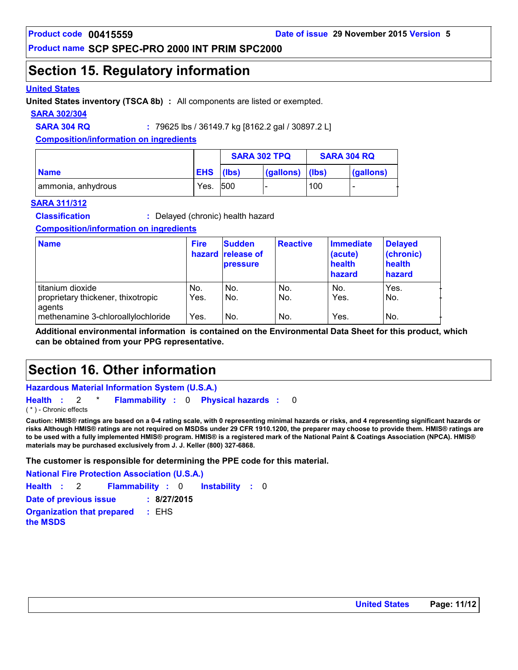## **Section 15. Regulatory information**

### **United States**

**United States inventory (TSCA 8b) :** All components are listed or exempted.

### **SARA 302/304**

**SARA 304 RQ :** 79625 lbs / 36149.7 kg [8162.2 gal / 30897.2 L]

**Composition/information on ingredients**

|                    |            | <b>SARA 302 TPQ</b> |           | <b>SARA 304 RQ</b> |           |
|--------------------|------------|---------------------|-----------|--------------------|-----------|
| <b>Name</b>        | <b>EHS</b> | (lbs)               | (gallons) | (lbs)              | (gallons) |
| ammonia, anhydrous | Yes.       | <b>500</b>          |           | 100                |           |

### **SARA 311/312**

**Classification :** Delayed (chronic) health hazard

### **Composition/information on ingredients**

| <b>Name</b>                                                                        | <b>Fire</b> | <b>Sudden</b><br>hazard release of<br><b>pressure</b> | <b>Reactive</b> | Immediate<br>(acute)<br>health<br>hazard | <b>Delayed</b><br>(chronic)<br>health<br>hazard |
|------------------------------------------------------------------------------------|-------------|-------------------------------------------------------|-----------------|------------------------------------------|-------------------------------------------------|
| titanium dioxide                                                                   | No.<br>Yes. | No.<br>No.                                            | No.<br>No.      | No.<br>Yes.                              | Yes.<br>No.                                     |
| proprietary thickener, thixotropic<br>agents<br>methenamine 3-chloroallylochloride | Yes.        | No.                                                   | No.             | Yes.                                     | No.                                             |

**Additional environmental information is contained on the Environmental Data Sheet for this product, which can be obtained from your PPG representative.**

## **Section 16. Other information**

**Hazardous Material Information System (U.S.A.)**

**Health** : 2 \* **Flammability** : 0 **Physical hazards** : 0 0

( \* ) - Chronic effects

**Caution: HMIS® ratings are based on a 0-4 rating scale, with 0 representing minimal hazards or risks, and 4 representing significant hazards or risks Although HMIS® ratings are not required on MSDSs under 29 CFR 1910.1200, the preparer may choose to provide them. HMIS® ratings are to be used with a fully implemented HMIS® program. HMIS® is a registered mark of the National Paint & Coatings Association (NPCA). HMIS® materials may be purchased exclusively from J. J. Keller (800) 327-6868.**

**The customer is responsible for determining the PPE code for this material.**

**Instability** : 0 **National Fire Protection Association (U.S.A.) Health**: 2 **Flammability**: 0 **Instability**: 0 **Date of previous issue : 8/27/2015 Organization that prepared the MSDS :** EHS